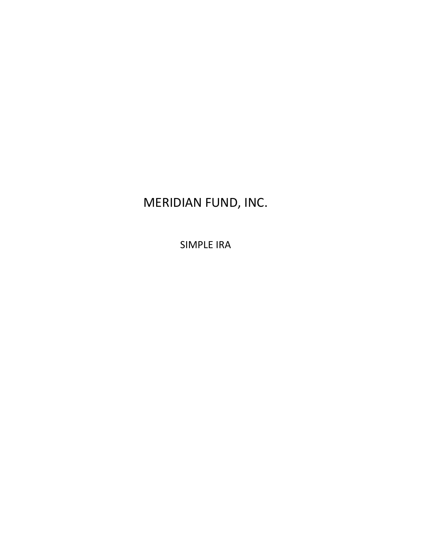# MERIDIAN FUND, INC.

SIMPLE IRA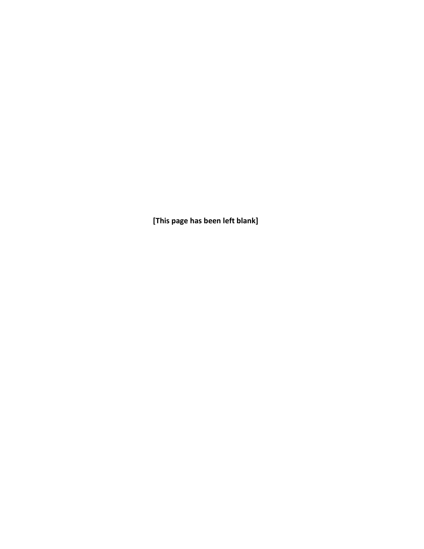**[This page has been left blank]**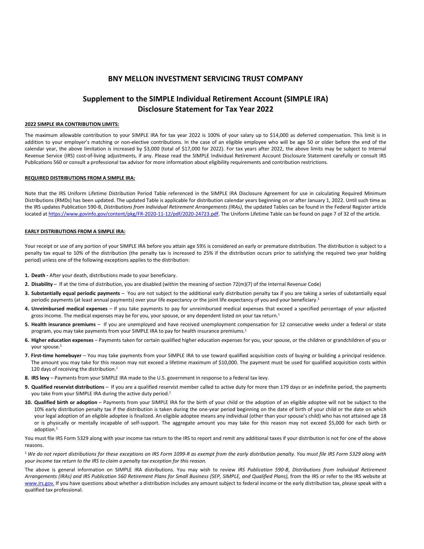# **BNY MELLON INVESTMENT SERVICING TRUST COMPANY**

# **Supplement to the SIMPLE Individual Retirement Account (SIMPLE IRA) Disclosure Statement for Tax Year 2022**

### **2022 SIMPLE IRA CONTRIBUTION LIMITS:**

The maximum allowable contribution to your SIMPLE IRA for tax year 2022 is 100% of your salary up to \$14,000 as deferred compensation. This limit is in addition to your employer's matching or non-elective contributions. In the case of an eligible employee who will be age 50 or older before the end of the calendar year, the above limitation is increased by \$3,000 (total of \$17,000 for 2022). For tax years after 2022, the above limits may be subject to Internal Revenue Service (IRS) cost-of-living adjustments, if any. Please read the SIMPLE Individual Retirement Account Disclosure Statement carefully or consult IRS Publications 560 or consult a professional tax advisor for more information about eligibility requirements and contribution restrictions.

### **REQUIRED DISTRIBUTIONS FROM A SIMPLE IRA:**

Note that the IRS Uniform Lifetime Distribution Period Table referenced in the SIMPLE IRA Disclosure Agreement for use in calculating Required Minimum Distributions (RMDs) has been updated. The updated Table is applicable for distribution calendar years beginning on or after January 1, 2022. Until such time as the IRS updates Publication 590-B, *Distributions from Individual Retirement Arrangements (IRAs)*, the updated Tables can be found in the Federal Register article located at https://www.govinfo.gov/content/pkg/FR-2020-11-12/pdf/2020-24723.pdf. The Uniform Lifetime Table can be found on page 7 of 32 of the article.

#### **EARLY DISTRIBUTIONS FROM A SIMPLE IRA:**

Your receipt or use of any portion of your SIMPLE IRA before you attain age 59% is considered an early or premature distribution. The distribution is subject to a penalty tax equal to 10% of the distribution (the penalty tax is increased to 25% if the distribution occurs prior to satisfying the required two year holding period) unless one of the following exceptions applies to the distribution:

- **1. Death** After your death, distributions made to your beneficiary.
- **2. Disability**  If at the time of distribution, you are disabled (within the meaning of section 72(m)(7) of the Internal Revenue Code)
- **3. Substantially equal periodic payments**  You are not subject to the additional early distribution penalty tax if you are taking a series of substantially equal periodic payments (at least annual payments) over your life expectancy or the joint life expectancy of you and your beneficiary.<sup>1</sup>
- **4. Unreimbursed medical expenses**  If you take payments to pay for unreimbursed medical expenses that exceed a specified percentage of your adjusted gross income. The medical expenses may be for you, your spouse, or any dependent listed on your tax return.<sup>1</sup>
- **5. Health insurance premiums**  If you are unemployed and have received unemployment compensation for 12 consecutive weeks under a federal or state program, you may take payments from your SIMPLE IRA to pay for health insurance premiums.<sup>1</sup>
- **6. Higher education expenses**  Payments taken for certain qualified higher education expenses for you, your spouse, or the children or grandchildren of you or your spouse.<sup>1</sup>
- **7. First-time homebuyer**  You may take payments from your SIMPLE IRA to use toward qualified acquisition costs of buying or building a principal residence. The amount you may take for this reason may not exceed a lifetime maximum of \$10,000. The payment must be used for qualified acquisition costs within 120 days of receiving the distribution.<sup>1</sup>
- **8. IRS levy**  Payments from your SIMPLE IRA made to the U.S. government in response to a federal tax levy.
- **9. Qualified reservist distributions**  If you are a qualified reservist member called to active duty for more than 179 days or an indefinite period, the payments you take from your SIMPLE IRA during the active duty period. $1$
- **10. Qualified birth or adoption**  Payments from your SIMPLE IRA for the birth of your child or the adoption of an eligible adoptee will not be subject to the 10% early distribution penalty tax if the distribution is taken during the one-year period beginning on the date of birth of your child or the date on which your legal adoption of an eligible adoptee is finalized. An eligible adoptee means any individual (other than your spouse's child) who has not attained age 18 or is physically or mentally incapable of self-support. The aggregate amount you may take for this reason may not exceed \$5,000 for each birth or adoption.<sup>1</sup>

You must file IRS Form 5329 along with your income tax return to the IRS to report and remit any additional taxes if your distribution is not for one of the above reasons.

<sup>1</sup>*We do not report distributions for these exceptions on IRS Form 1099-R as exempt from the early distribution penalty. You must file IRS Form 5329 along with your income tax return to the IRS to claim a penalty tax exception for this reason.*

The above is general information on SIMPLE IRA distributions. You may wish to review *IRS Publication 590-B*, *Distributions from Individual Retirement Arrangements (IRAs) and IRS Publication 560 Retirement Plans for Small Business (SEP, SIMPLE, and Qualified Plans),* from the IRS or refer to the IRS website at www.irs.gov. If you have questions about whether a distribution includes any amount subject to federal income or the early distribution tax, please speak with a qualified tax professional.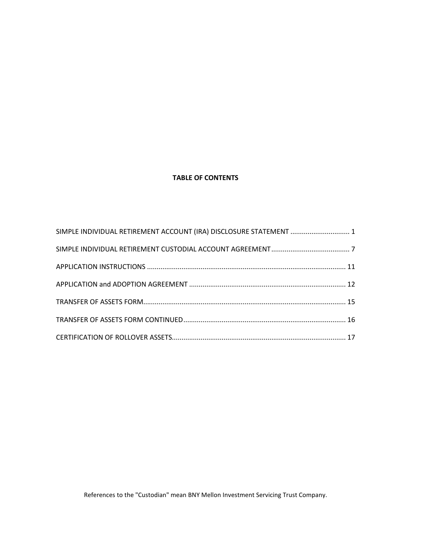# **TABLE OF CONTENTS**

| SIMPLE INDIVIDUAL RETIREMENT ACCOUNT (IRA) DISCLOSURE STATEMENT  1 |  |
|--------------------------------------------------------------------|--|
|                                                                    |  |
|                                                                    |  |
|                                                                    |  |
|                                                                    |  |
|                                                                    |  |
|                                                                    |  |

References to the "Custodian" mean BNY Mellon Investment Servicing Trust Company.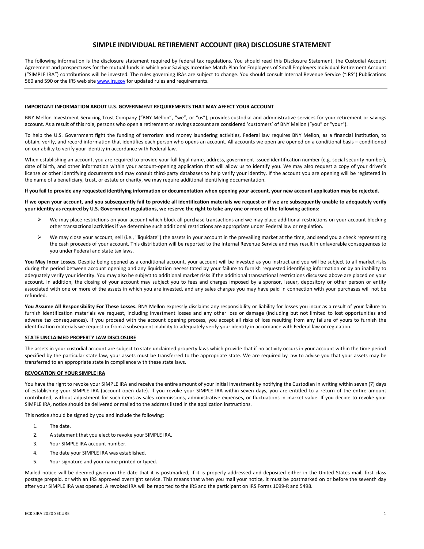# **SIMPLE INDIVIDUAL RETIREMENT ACCOUNT (IRA) DISCLOSURE STATEMENT**

The following information is the disclosure statement required by federal tax regulations. You should read this Disclosure Statement, the Custodial Account Agreement and prospectuses for the mutual funds in which your Savings Incentive Match Plan for Employees of Small Employers Individual Retirement Account ("SIMPLE IRA") contributions will be invested. The rules governing IRAs are subject to change. You should consult Internal Revenue Service ("IRS") Publications 560 and 590 or the IRS web site www.irs.gov for updated rules and requirements.

#### **IMPORTANT INFORMATION ABOUT U.S. GOVERNMENT REQUIREMENTS THAT MAY AFFECT YOUR ACCOUNT**

BNY Mellon Investment Servicing Trust Company ("BNY Mellon", "we", or "us"), provides custodial and administrative services for your retirement or savings account. As a result of this role, persons who open a retirement or savings account are considered 'customers' of BNY Mellon ("you" or "your").

To help the U.S. Government fight the funding of terrorism and money laundering activities, Federal law requires BNY Mellon, as a financial institution, to obtain, verify, and record information that identifies each person who opens an account. All accounts we open are opened on a conditional basis – conditioned on our ability to verify your identity in accordance with Federal law.

When establishing an account, you are required to provide your full legal name, address, government issued identification number (e.g. social security number), date of birth, and other information within your account-opening application that will allow us to identify you. We may also request a copy of your driver's license or other identifying documents and may consult third-party databases to help verify your identity. If the account you are opening will be registered in the name of a beneficiary, trust, or estate or charity, we may require additional identifying documentation.

#### **If you fail to provide any requested identifying information or documentation when opening your account, your new account application may be rejected.**

If we open your account, and you subsequently fail to provide all identification materials we request or if we are subsequently unable to adequately verify **your identity as required by U.S. Government regulations, we reserve the right to take any one or more of the following actions:** 

- We may place restrictions on your account which block all purchase transactions and we may place additional restrictions on your account blocking other transactional activities if we determine such additional restrictions are appropriate under Federal law or regulation.
- We may close your account, sell (i.e., "liquidate") the assets in your account in the prevailing market at the time, and send you a check representing the cash proceeds of your account. This distribution will be reported to the Internal Revenue Service and may result in unfavorable consequences to you under Federal and state tax laws.

You May Incur Losses. Despite being opened as a conditional account, your account will be invested as you instruct and you will be subject to all market risks during the period between account opening and any liquidation necessitated by your failure to furnish requested identifying information or by an inability to adequately verify your identity. You may also be subject to additional market risks if the additional transactional restrictions discussed above are placed on your account. In addition, the closing of your account may subject you to fees and charges imposed by a sponsor, issuer, depository or other person or entity associated with one or more of the assets in which you are invested, and any sales charges you may have paid in connection with your purchases will not be refunded.

You Assume All Responsibility For These Losses. BNY Mellon expressly disclaims any responsibility or liability for losses you incur as a result of your failure to furnish identification materials we request, including investment losses and any other loss or damage (including but not limited to lost opportunities and adverse tax consequences). If you proceed with the account opening process, you accept all risks of loss resulting from any failure of yours to furnish the identification materials we request or from a subsequent inability to adequately verify your identity in accordance with Federal law or regulation.

#### **STATE UNCLAIMED PROPERTY LAW DISCLOSURE**

The assets in your custodial account are subject to state unclaimed property laws which provide that if no activity occurs in your account within the time period specified by the particular state law, your assets must be transferred to the appropriate state. We are required by law to advise you that your assets may be transferred to an appropriate state in compliance with these state laws.

#### **REVOCATION OF YOUR SIMPLE IRA**

You have the right to revoke your SIMPLE IRA and receive the entire amount of your initial investment by notifying the Custodian in writing within seven (7) days of establishing your SIMPLE IRA (account open date). If you revoke your SIMPLE IRA within seven days, you are entitled to a return of the entire amount contributed, without adjustment for such items as sales commissions, administrative expenses, or fluctuations in market value. If you decide to revoke your SIMPLE IRA, notice should be delivered or mailed to the address listed in the application instructions.

This notice should be signed by you and include the following:

- 1. The date.
- 2. A statement that you elect to revoke your SIMPLE IRA.
- 3. Your SIMPLE IRA account number.
- 4. The date your SIMPLE IRA was established.
- 5. Your signature and your name printed or typed.

Mailed notice will be deemed given on the date that it is postmarked, if it is properly addressed and deposited either in the United States mail, first class postage prepaid, or with an IRS approved overnight service. This means that when you mail your notice, it must be postmarked on or before the seventh day after your SIMPLE IRA was opened. A revoked IRA will be reported to the IRS and the participant on IRS Forms 1099-R and 5498.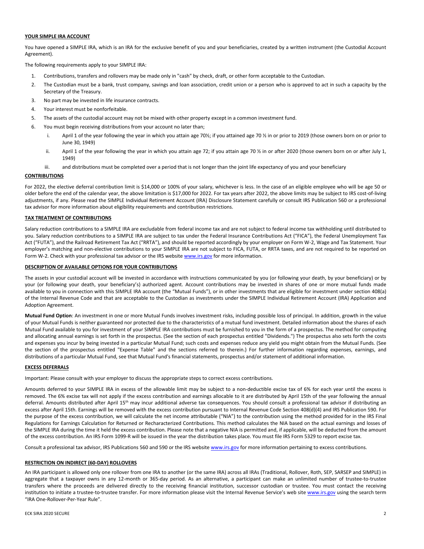#### **YOUR SIMPLE IRA ACCOUNT**

You have opened a SIMPLE IRA, which is an IRA for the exclusive benefit of you and your beneficiaries, created by a written instrument (the Custodial Account Agreement).

The following requirements apply to your SIMPLE IRA:

- 1. Contributions, transfers and rollovers may be made only in "cash" by check, draft, or other form acceptable to the Custodian.
- 2. The Custodian must be a bank, trust company, savings and loan association, credit union or a person who is approved to act in such a capacity by the Secretary of the Treasury.
- 3. No part may be invested in life insurance contracts.
- 4. Your interest must be nonforfeitable.
- 5. The assets of the custodial account may not be mixed with other property except in a common investment fund.
- 6. You must begin receiving distributions from your account no later than;
	- i. April 1 of the year following the year in which you attain age 70%; if you attained age 70 % in or prior to 2019 (those owners born on or prior to June 30, 1949)
	- ii. April 1 of the year following the year in which you attain age 72; if you attain age 70 % in or after 2020 (those owners born on or after July 1, 1949)
	- iii. and distributions must be completed over a period that is not longer than the joint life expectancy of you and your beneficiary

#### **CONTRIBUTIONS**

For 2022, the elective deferral contribution limit is \$14,000 or 100% of your salary, whichever is less. In the case of an eligible employee who will be age 50 or older before the end of the calendar year, the above limitation is \$17,000 for 2022. For tax years after 2022, the above limits may be subject to IRS cost-of-living adjustments, if any. Please read the SIMPLE Individual Retirement Account (IRA) Disclosure Statement carefully or consult IRS Publication 560 or a professional tax advisor for more information about eligibility requirements and contribution restrictions.

#### **TAX TREATMENT OF CONTRIBUTIONS**

Salary reduction contributions to a SIMPLE IRA are excludable from federal income tax and are not subject to federal income tax withholding until distributed to you. Salary reduction contributions to a SIMPLE IRA are subject to tax under the Federal Insurance Contributions Act ("FICA"), the Federal Unemployment Tax Act ("FUTA"), and the Railroad Retirement Tax Act ("RRTA"), and should be reported accordingly by your employer on Form W-2, Wage and Tax Statement. Your employer's matching and non-elective contributions to your SIMPLE IRA are not subject to FICA, FUTA, or RRTA taxes, and are not required to be reported on Form W-2. Check with your professional tax advisor or the IRS website www.irs.gov for more information.

#### **DESCRIPTION OF AVAILABLE OPTIONS FOR YOUR CONTRIBUTIONS**

The assets in your custodial account will be invested in accordance with instructions communicated by you (or following your death, by your beneficiary) or by your (or following your death, your beneficiary's) authorized agent. Account contributions may be invested in shares of one or more mutual funds made available to you in connection with this SIMPLE IRA account (the "Mutual Funds"), or in other investments that are eligible for investment under section 408(a) of the Internal Revenue Code and that are acceptable to the Custodian as investments under the SIMPLE Individual Retirement Account (IRA) Application and Adoption Agreement.

**Mutual Fund Option**: An investment in one or more Mutual Funds involves investment risks, including possible loss of principal. In addition, growth in the value of your Mutual Funds is neither guaranteed nor protected due to the characteristics of a mutual fund investment. Detailed information about the shares of each Mutual Fund available to you for investment of your SIMPLE IRA contributions must be furnished to you in the form of a prospectus. The method for computing and allocating annual earnings is set forth in the prospectus. (See the section of each prospectus entitled "Dividends.") The prospectus also sets forth the costs and expenses you incur by being invested in a particular Mutual Fund; such costs and expenses reduce any yield you might obtain from the Mutual Funds. (See the section of the prospectus entitled "Expense Table" and the sections referred to therein.) For further information regarding expenses, earnings, and distributions of a particular Mutual Fund, see that Mutual Fund's financial statements, prospectus and/or statement of additional information.

#### **EXCESS DEFERRALS**

Important: Please consult with your employer to discuss the appropriate steps to correct excess contributions.

Amounts deferred to your SIMPLE IRA in excess of the allowable limit may be subject to a non-deductible excise tax of 6% for each year until the excess is removed. The 6% excise tax will not apply if the excess contribution and earnings allocable to it are distributed by April 15th of the year following the annual deferral. Amounts distributed after April 15<sup>th</sup> may incur additional adverse tax consequences. You should consult a professional tax advisor if distributing an excess after April 15th. Earnings will be removed with the excess contribution pursuant to Internal Revenue Code Section 408(d)(4) and IRS Publication 590. For the purpose of the excess contribution, we will calculate the net income attributable ("NIA") to the contribution using the method provided for in the IRS Final Regulations for Earnings Calculation for Returned or Recharacterized Contributions*.* This method calculates the NIA based on the actual earnings and losses of the SIMPLE IRA during the time it held the excess contribution. Please note that a negative NIA is permitted and, if applicable, will be deducted from the amount of the excess contribution. An IRS Form 1099-R will be issued in the year the distribution takes place. You must file IRS Form 5329 to report excise tax.

Consult a professional tax advisor, IRS Publications 560 and 590 or the IRS website www.irs.gov for more information pertaining to excess contributions.

#### **RESTRICTION ON INDIRECT (60-DAY) ROLLOVERS**

An IRA participant is allowed only one rollover from one IRA to another (or the same IRA) across all IRAs (Traditional, Rollover, Roth, SEP, SARSEP and SIMPLE) in aggregate that a taxpayer owns in any 12-month or 365-day period. As an alternative, a participant can make an unlimited number of trustee-to-trustee transfers where the proceeds are delivered directly to the receiving financial institution, successor custodian or trustee. You must contact the receiving institution to initiate a trustee-to-trustee transfer. For more information please visit the Internal Revenue Service's web site www.irs.gov using the search term "IRA One-Rollover-Per-Year Rule".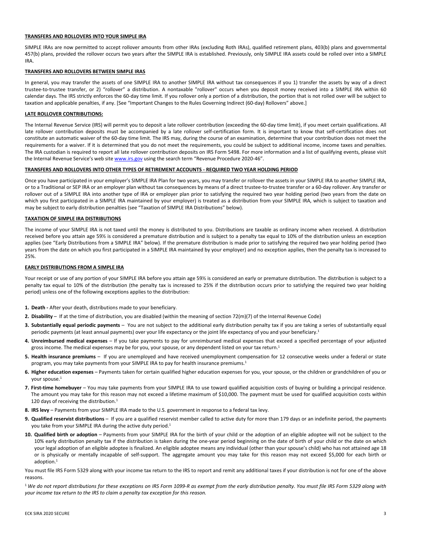#### **TRANSFERS AND ROLLOVERS INTO YOUR SIMPLE IRA**

SIMPLE IRAs are now permitted to accept rollover amounts from other IRAs (excluding Roth IRAs), qualified retirement plans, 403(b) plans and governmental 457(b) plans, provided the rollover occurs two years after the SIMPLE IRA is established. Previously, only SIMPLE IRA assets could be rolled over into a SIMPLE IRA.

#### **TRANSFERS AND ROLLOVERS BETWEEN SIMPLE IRAS**

In general, you may transfer the assets of one SIMPLE IRA to another SIMPLE IRA without tax consequences if you 1) transfer the assets by way of a direct trustee-to-trustee transfer, or 2) "rollover" a distribution. A nontaxable "rollover" occurs when you deposit money received into a SIMPLE IRA within 60 calendar days. The IRS strictly enforces the 60-day time limit. If you rollover only a portion of a distribution, the portion that is not rolled over will be subject to taxation and applicable penalties, if any. [See "Important Changes to the Rules Governing Indirect (60-day) Rollovers" above.]

### **LATE ROLLOVER CONTRIBUTIONS:**

The Internal Revenue Service (IRS) will permit you to deposit a late rollover contribution (exceeding the 60-day time limit), if you meet certain qualifications. All late rollover contribution deposits must be accompanied by a late rollover self-certification form. It is important to know that self-certification does not constitute an automatic waiver of the 60-day time limit. The IRS may, during the course of an examination, determine that your contribution does not meet the requirements for a waiver. If it is determined that you do not meet the requirements, you could be subject to additional income, income taxes and penalties. The IRA custodian is required to report all late rollover contribution deposits on IRS Form 5498. For more information and a list of qualifying events, please visit the Internal Revenue Service's web site www.irs.gov using the search term "Revenue Procedure 2020-46".

#### **TRANSFERS AND ROLLOVERS INTO OTHER TYPES OF RETIREMENT ACCOUNTS - REQUIRED TWO YEAR HOLDING PERIOD**

Once you have participated in your employer's SIMPLE IRA Plan for two years, you may transfer or rollover the assets in your SIMPLE IRA to another SIMPLE IRA, or to a Traditional or SEP IRA or an employer plan without tax consequences by means of a direct trustee-to-trustee transfer or a 60-day rollover. Any transfer or rollover out of a SIMPLE IRA into another type of IRA or employer plan prior to satisfying the required two year holding period (two years from the date on which you first participated in a SIMPLE IRA maintained by your employer) is treated as a distribution from your SIMPLE IRA, which is subject to taxation and may be subject to early distribution penalties (see "Taxation of SIMPLE IRA Distributions" below).

#### **TAXATION OF SIMPLE IRA DISTRIBUTIONS**

The income of your SIMPLE IRA is not taxed until the money is distributed to you. Distributions are taxable as ordinary income when received. A distribution received before you attain age 59½ is considered a premature distribution and is subject to a penalty tax equal to 10% of the distribution unless an exception applies (see "Early Distributions from a SIMPLE IRA" below). If the premature distribution is made prior to satisfying the required two year holding period (two years from the date on which you first participated in a SIMPLE IRA maintained by your employer) and no exception applies, then the penalty tax is increased to 25%.

#### **EARLY DISTRIBUTIONS FROM A SIMPLE IRA**

Your receipt or use of any portion of your SIMPLE IRA before you attain age 59% is considered an early or premature distribution. The distribution is subject to a penalty tax equal to 10% of the distribution (the penalty tax is increased to 25% if the distribution occurs prior to satisfying the required two year holding period) unless one of the following exceptions applies to the distribution:

- **1. Death** After your death, distributions made to your beneficiary.
- **2. Disability**  If at the time of distribution, you are disabled (within the meaning of section 72(m)(7) of the Internal Revenue Code)
- **3. Substantially equal periodic payments**  You are not subject to the additional early distribution penalty tax if you are taking a series of substantially equal periodic payments (at least annual payments) over your life expectancy or the joint life expectancy of you and your beneficiary.<sup>1</sup>
- **4. Unreimbursed medical expenses**  If you take payments to pay for unreimbursed medical expenses that exceed a specified percentage of your adjusted gross income. The medical expenses may be for you, your spouse, or any dependent listed on your tax return.<sup>1</sup>
- **5. Health insurance premiums**  If you are unemployed and have received unemployment compensation for 12 consecutive weeks under a federal or state program, you may take payments from your SIMPLE IRA to pay for health insurance premiums.<sup>1</sup>
- **6. Higher education expenses**  Payments taken for certain qualified higher education expenses for you, your spouse, or the children or grandchildren of you or your spouse.<sup>1</sup>
- 7. First-time homebuyer You may take payments from your SIMPLE IRA to use toward qualified acquisition costs of buying or building a principal residence. The amount you may take for this reason may not exceed a lifetime maximum of \$10,000. The payment must be used for qualified acquisition costs within 120 days of receiving the distribution.<sup>1</sup>
- **8. IRS levy**  Payments from your SIMPLE IRA made to the U.S. government in response to a federal tax levy.
- **9. Qualified reservist distributions**  If you are a qualified reservist member called to active duty for more than 179 days or an indefinite period, the payments you take from your SIMPLE IRA during the active duty period. $1$
- **10. Qualified birth or adoption**  Payments from your SIMPLE IRA for the birth of your child or the adoption of an eligible adoptee will not be subject to the 10% early distribution penalty tax if the distribution is taken during the one-year period beginning on the date of birth of your child or the date on which your legal adoption of an eligible adoptee is finalized. An eligible adoptee means any individual (other than your spouse's child) who has not attained age 18 or is physically or mentally incapable of self-support. The aggregate amount you may take for this reason may not exceed \$5,000 for each birth or adoption.<sup>1</sup>

You must file IRS Form 5329 along with your income tax return to the IRS to report and remit any additional taxes if your distribution is not for one of the above reasons.

<sup>1</sup>*We do not report distributions for these exceptions on IRS Form 1099-R as exempt from the early distribution penalty. You must file IRS Form 5329 along with your income tax return to the IRS to claim a penalty tax exception for this reason.*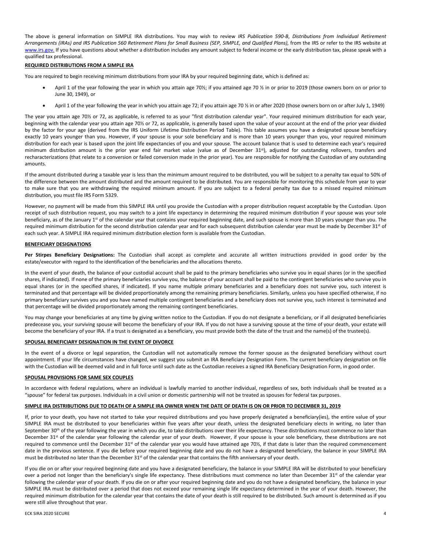The above is general information on SIMPLE IRA distributions. You may wish to review *IRS Publication 590-B*, *Distributions from Individual Retirement*  Arrangements (IRAs) and IRS Publication 560 Retirement Plans for Small Business (SEP, SIMPLE, and Qualified Plans), from the IRS or refer to the IRS website at www.irs.gov. If you have questions about whether a distribution includes any amount subject to federal income or the early distribution tax, please speak with a qualified tax professional.

#### **REQUIRED DISTRIBUTIONS FROM A SIMPLE IRA**

You are required to begin receiving minimum distributions from your IRA by your required beginning date, which is defined as:

- April 1 of the year following the year in which you attain age 70½; if you attained age 70 % in or prior to 2019 (those owners born on or prior to June 30, 1949), or
- April 1 of the year following the year in which you attain age 72; if you attain age 70 % in or after 2020 (those owners born on or after July 1, 1949)

The year you attain age 70½ or 72, as applicable, is referred to as your "first distribution calendar year". Your required minimum distribution for each year, beginning with the calendar year you attain age 70½ or 72, as applicable, is generally based upon the value of your account at the end of the prior year divided by the factor for your age (derived from the IRS Uniform Lifetime Distribution Period Table). This table assumes you have a designated spouse beneficiary exactly 10 years younger than you. However, if your spouse is your sole beneficiary and is more than 10 years younger than you, your required minimum distribution for each year is based upon the joint life expectancies of you and your spouse. The account balance that is used to determine each year's required minimum distribution amount is the prior year end fair market value (value as of December 31<sup>st</sup>), adjusted for outstanding rollovers, transfers and recharacterizations (that relate to a conversion or failed conversion made in the prior year). You are responsible for notifying the Custodian of any outstanding amounts.

If the amount distributed during a taxable year is less than the minimum amount required to be distributed, you will be subject to a penalty tax equal to 50% of the difference between the amount distributed and the amount required to be distributed. You are responsible for monitoring this schedule from year to year to make sure that you are withdrawing the required minimum amount. If you are subject to a federal penalty tax due to a missed required minimum distribution, you must file IRS Form 5329.

However, no payment will be made from this SIMPLE IRA until you provide the Custodian with a proper distribution request acceptable by the Custodian. Upon receipt of such distribution request, you may switch to a joint life expectancy in determining the required minimum distribution if your spouse was your sole beneficiary, as of the January 1<sup>st</sup> of the calendar year that contains your required beginning date, and such spouse is more than 10 years younger than you. The required minimum distribution for the second distribution calendar year and for each subsequent distribution calendar year must be made by December  $31^{st}$  of each such year. A SIMPLE IRA required minimum distribution election form is available from the Custodian.

#### **BENEFICIARY DESIGNATIONS**

**Per Stirpes Beneficiary Designations:** The Custodian shall accept as complete and accurate all written instructions provided in good order by the estate/executor with regard to the identification of the beneficiaries and the allocations thereto.

In the event of your death, the balance of your custodial account shall be paid to the primary beneficiaries who survive you in equal shares (or in the specified shares, if indicated). If none of the primary beneficiaries survive you, the balance of your account shall be paid to the contingent beneficiaries who survive you in equal shares (or in the specified shares, if indicated). If you name multiple primary beneficiaries and a beneficiary does not survive you, such interest is terminated and that percentage will be divided proportionately among the remaining primary beneficiaries. Similarly, unless you have specified otherwise, if no primary beneficiary survives you and you have named multiple contingent beneficiaries and a beneficiary does not survive you, such interest is terminated and that percentage will be divided proportionately among the remaining contingent beneficiaries.

You may change your beneficiaries at any time by giving written notice to the Custodian. If you do not designate a beneficiary, or if all designated beneficiaries predecease you, your surviving spouse will become the beneficiary of your IRA. If you do not have a surviving spouse at the time of your death, your estate will become the beneficiary of your IRA. If a trust is designated as a beneficiary, you must provide both the date of the trust and the name(s) of the trustee(s).

### **SPOUSAL BENEFICIARY DESIGNATION IN THE EVENT OF DIVORCE**

In the event of a divorce or legal separation, the Custodian will not automatically remove the former spouse as the designated beneficiary without court appointment. If your life circumstances have changed, we suggest you submit an IRA Beneficiary Designation Form. The current beneficiary designation on file with the Custodian will be deemed valid and in full force until such date as the Custodian receives a signed IRA Beneficiary Designation Form, in good order.

#### **SPOUSAL PROVISIONS FOR SAME SEX COUPLES**

In accordance with federal regulations, where an individual is lawfully married to another individual, regardless of sex, both individuals shall be treated as a "spouse" for federal tax purposes. Individuals in a civil union or domestic partnership will not be treated as spouses for federal tax purposes.

#### **SIMPLE IRA DISTRIBUTIONS DUE TO DEATH OF A SIMPLE IRA OWNER WHEN THE DATE OF DEATH IS ON OR PRIOR TO DECEMBER 31, 2019**

If, prior to your death, you have not started to take your required distributions and you have properly designated a beneficiary(ies), the entire value of your SIMPLE IRA must be distributed to your beneficiaries within five years after your death, unless the designated beneficiary elects in writing, no later than September 30<sup>th</sup> of the year following the year in which you die, to take distributions over their life expectancy. These distributions must commence no later than December 31<sup>st</sup> of the calendar year following the calendar year of your death. However, if your spouse is your sole beneficiary, these distributions are not required to commence until the December 31<sup>st</sup> of the calendar year you would have attained age 70%, if that date is later than the required commencement date in the previous sentence. If you die before your required beginning date and you do not have a designated beneficiary, the balance in your SIMPLE IRA must be distributed no later than the December 31<sup>st</sup> of the calendar year that contains the fifth anniversary of your death.

If you die on or after your required beginning date and you have a designated beneficiary, the balance in your SIMPLE IRA will be distributed to your beneficiary over a period not longer than the beneficiary's single life expectancy. These distributions must commence no later than December 31<sup>st</sup> of the calendar year following the calendar year of your death. If you die on or after your required beginning date and you do not have a designated beneficiary, the balance in your SIMPLE IRA must be distributed over a period that does not exceed your remaining single life expectancy determined in the year of your death. However, the required minimum distribution for the calendar year that contains the date of your death is still required to be distributed. Such amount is determined as if you were still alive throughout that year.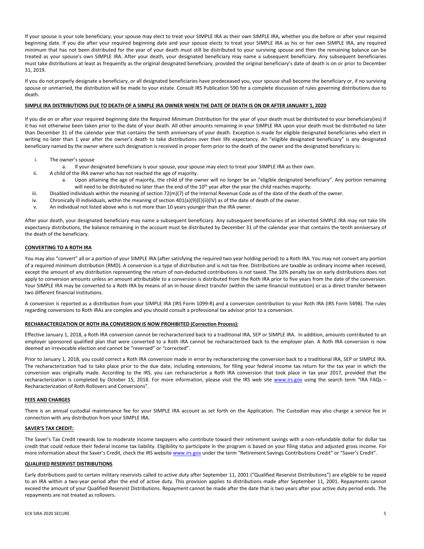If your spouse is your sole beneficiary, your spouse may elect to treat your SIMPLE IRA as their own SIMPLE IRA, whether you die before or after your required beginning date. If you die after your required beginning date and your spouse elects to treat your SIMPLE IRA as his or her own SIMPLE IRA, any required minimum that has not been distributed for the year of your death must still be distributed to your surviving spouse and then the remaining balance can be treated as your spouse's own SIMPLE IRA. After your death, your designated beneficiary may name a subsequent beneficiary. Any subsequent beneficiaries must take distributions at least as frequently as the original designated beneficiary, provided the original beneficiary's date of death is on or prior to December 31, 2019.

If you do not properly designate a beneficiary, or all designated beneficiaries have predeceased you, your spouse shall become the beneficiary or, if no surviving spouse or unmarried, the distribution will be made to your estate. Consult IRS Publication 590 for a complete discussion of rules governing distributions due to death.

#### **SIMPLE IRA DISTRIBUTIONS DUE TO DEATH OF A SIMPLE IRA OWNER WHEN THE DATE OF DEATH IS ON OR AFTER JANUARY 1, 2020**

If you die on or after your required beginning date the Required Minimum Distribution for the year of your death must be distributed to your beneficiary(ies) if it has not otherwise been taken prior to the date of your death. All other amounts remaining in your SIMPLE IRA upon your death must be distributed no later than December 31 of the calendar year that contains the tenth anniversary of your death. Exception is made for eligible designated beneficiaries who elect in writing no later than 1 year after the owner's death to take distributions over their life expectancy. An "eligible designated beneficiary" is any designated beneficiary named by the owner where such designation is received in proper form prior to the death of the owner and the designated beneficiary is:

- i. The owner's spouse
- a. If your designated beneficiary is your spouse, your spouse may elect to treat your SIMPLE IRA as their own.
- ii. A child of the IRA owner who has not reached the age of majority.
	- Upon attaining the age of majority, the child of the owner will no longer be an "eligible designated beneficiary". Any portion remaining will need to be distributed no later than the end of the 10<sup>th</sup> year after the year the child reaches majority.
- iii. Disabled individuals within the meaning of section 72(m)(7) of the Internal Revenue Code as of the date of the death of the owner.
- iv. Chronically ill individuals, within the meaning of section 401(a)(9)(E)(ii)(IV) as of the date of death of the owner.
- v. An individual not listed above who is not more than 10 years younger than the IRA owner.

After your death, your designated beneficiary may name a subsequent beneficiary. Any subsequent beneficiaries of an inherited SIMPLE IRA may not take life expectancy distributions, the balance remaining in the account must be distributed by December 31 of the calendar year that contains the tenth anniversary of the death of the beneficiary.

#### **CONVERTING TO A ROTH IRA**

You may also "convert" all or a portion of your SIMPLE IRA (after satisfying the required two year holding period) to a Roth IRA. You may not convert any portion of a required minimum distribution (RMD). A conversion is a type of distribution and is not tax-free. Distributions are taxable as ordinary income when received, except the amount of any distribution representing the return of non-deducted contributions is not taxed. The 10% penalty tax on early distributions does not apply to conversion amounts unless an amount attributable to a conversion is distributed from the Roth IRA prior to five years from the date of the conversion. Your SIMPLE IRA may be converted to a Roth IRA by means of an in-house direct transfer (within the same financial institution) or as a direct transfer between two different financial institutions.

A conversion is reported as a distribution from your SIMPLE IRA (IRS Form 1099-R) and a conversion contribution to your Roth IRA (IRS Form 5498). The rules regarding conversions to Roth IRAs are complex and you should consult a professional tax advisor prior to a conversion.

#### **RECHARACTERIZATION OF ROTH IRA CONVERSION IS NOW PROHIBITED (Correction Process):**

Effective January 1, 2018, a Roth IRA conversion cannot be recharacterized back to a traditional IRA, SEP or SIMPLE IRA. In addition, amounts contributed to an employer sponsored qualified plan that were converted to a Roth IRA cannot be recharacterized back to the employer plan. A Roth IRA conversion is now deemed an irrevocable election and cannot be "reversed" or "corrected".

Prior to January 1, 2018, you could correct a Roth IRA conversion made in error by recharacterizing the conversion back to a traditional IRA, SEP or SIMPLE IRA. The recharacterization had to take place prior to the due date, including extensions, for filing your federal income tax return for the tax year in which the conversion was originally made. According to the IRS, you can recharacterize a Roth IRA conversion that took place in tax year 2017, provided that the recharacterization is completed by October 15, 2018. For more information, please visit the IRS web site www.irs.gov using the search term "IRA FAQs -Recharacterization of Roth Rollovers and Conversions".

#### **FEES AND CHARGES**

There is an annual custodial maintenance fee for your SIMPLE IRA account as set forth on the Application. The Custodian may also charge a service fee in connection with any distribution from your SIMPLE IRA.

# **SAVER'S TAX CREDIT:**

The Saver's Tax Credit rewards low to moderate income taxpayers who contribute toward their retirement savings with a non-refundable dollar for dollar tax credit that could reduce their federal income tax liability. Eligibility to participate in the program is based on your filing status and adjusted gross income. For more information about the Saver's Credit, check the IRS website www.irs.gov under the term "Retirement Savings Contributions Credit" or "Saver's Credit".

#### **QUALIFIED RESERVIST DISTRIBUTIONS**

Early distributions paid to certain military reservists called to active duty after September 11, 2001 ("Qualified Reservist Distributions") are eligible to be repaid to an IRA within a two-year period after the end of active duty. This provision applies to distributions made after September 11, 2001. Repayments cannot exceed the amount of your Qualified Reservist Distributions. Repayment cannot be made after the date that is two years after your active duty period ends. The repayments are not treated as rollovers.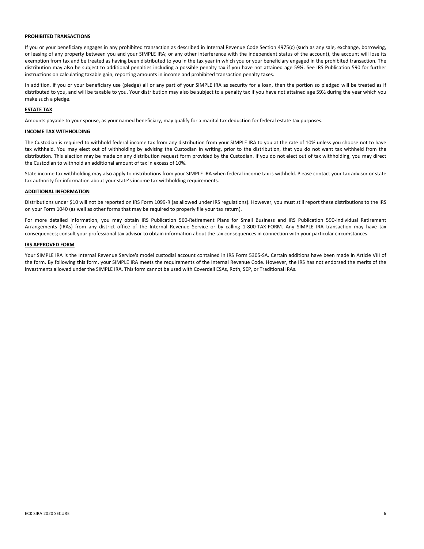### **PROHIBITED TRANSACTIONS**

If you or your beneficiary engages in any prohibited transaction as described in Internal Revenue Code Section 4975(c) (such as any sale, exchange, borrowing, or leasing of any property between you and your SIMPLE IRA; or any other interference with the independent status of the account), the account will lose its exemption from tax and be treated as having been distributed to you in the tax year in which you or your beneficiary engaged in the prohibited transaction. The distribution may also be subject to additional penalties including a possible penalty tax if you have not attained age 59½. See IRS Publication 590 for further instructions on calculating taxable gain, reporting amounts in income and prohibited transaction penalty taxes.

In addition, if you or your beneficiary use (pledge) all or any part of your SIMPLE IRA as security for a loan, then the portion so pledged will be treated as if distributed to you, and will be taxable to you. Your distribution may also be subject to a penalty tax if you have not attained age 59% during the year which you make such a pledge.

# **ESTATE TAX**

Amounts payable to your spouse, as your named beneficiary, may qualify for a marital tax deduction for federal estate tax purposes.

#### **INCOME TAX WITHHOLDING**

The Custodian is required to withhold federal income tax from any distribution from your SIMPLE IRA to you at the rate of 10% unless you choose not to have tax withheld. You may elect out of withholding by advising the Custodian in writing, prior to the distribution, that you do not want tax withheld from the distribution. This election may be made on any distribution request form provided by the Custodian. If you do not elect out of tax withholding, you may direct the Custodian to withhold an additional amount of tax in excess of 10%.

State income tax withholding may also apply to distributions from your SIMPLE IRA when federal income tax is withheld. Please contact your tax advisor or state tax authority for information about your state's income tax withholding requirements.

#### **ADDITIONAL INFORMATION**

Distributions under \$10 will not be reported on IRS Form 1099-R (as allowed under IRS regulations). However, you must still report these distributions to the IRS on your Form 1040 (as well as other forms that may be required to properly file your tax return).

For more detailed information, you may obtain IRS Publication 560-Retirement Plans for Small Business and IRS Publication 590-Individual Retirement Arrangements (IRAs) from any district office of the Internal Revenue Service or by calling 1-800-TAX-FORM. Any SIMPLE IRA transaction may have tax consequences; consult your professional tax advisor to obtain information about the tax consequences in connection with your particular circumstances.

#### **IRS APPROVED FORM**

Your SIMPLE IRA is the Internal Revenue Service's model custodial account contained in IRS Form 5305-SA. Certain additions have been made in Article VIII of the form. By following this form, your SIMPLE IRA meets the requirements of the Internal Revenue Code. However, the IRS has not endorsed the merits of the investments allowed under the SIMPLE IRA. This form cannot be used with Coverdell ESAs, Roth, SEP, or Traditional IRAs.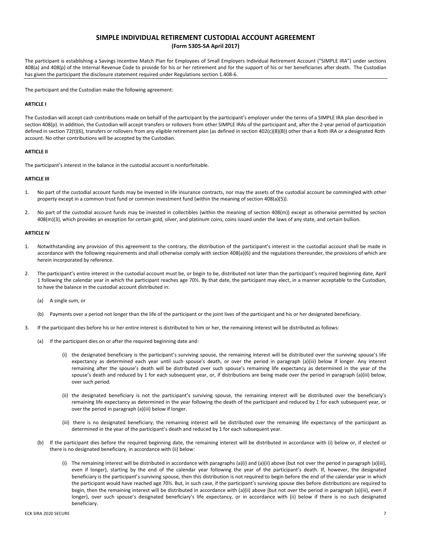# **SIMPLE INDIVIDUAL RETIREMENT CUSTODIAL ACCOUNT AGREEMENT (Form 5305-SA April 2017)**

The participant is establishing a Savings Incentive Match Plan for Employees of Small Employers Individual Retirement Account ("SIMPLE IRA") under sections 408(a) and 408(p) of the Internal Revenue Code to provide for his or her retirement and for the support of his or her beneficiaries after death. The Custodian has given the participant the disclosure statement required under Regulations section 1.408-6.

The participant and the Custodian make the following agreement:

#### **ARTICLE I**

The Custodian will accept cash contributions made on behalf of the participant by the participant's employer under the terms of a SIMPLE IRA plan described in section 408(p). In addition, the Custodian will accept transfers or rollovers from other SIMPLE IRAs of the participant and, after the 2-year period of participation defined in section 72(t)(6), transfers or rollovers from any eligible retirement plan (as defined in section 402(c)(8)(B)) other than a Roth IRA or a designated Roth account. No other contributions will be accepted by the Custodian.

#### **ARTICLE II**

The participant's interest in the balance in the custodial account is nonforfeitable.

#### **ARTICLE III**

- 1. No part of the custodial account funds may be invested in life insurance contracts, nor may the assets of the custodial account be commingled with other property except in a common trust fund or common investment fund (within the meaning of section 408(a)(5)).
- 2. No part of the custodial account funds may be invested in collectibles (within the meaning of section 408(m)) except as otherwise permitted by section 408(m)(3), which provides an exception for certain gold, silver, and platinum coins, coins issued under the laws of any state, and certain bullion.

#### **ARTICLE IV**

- 1. Notwithstanding any provision of this agreement to the contrary, the distribution of the participant's interest in the custodial account shall be made in accordance with the following requirements and shall otherwise comply with section 408(a)(6) and the regulations thereunder, the provisions of which are herein incorporated by reference.
- 2. The participant's entire interest in the custodial account must be, or begin to be, distributed not later than the participant's required beginning date, April 1 following the calendar year in which the participant reaches age 70½. By that date, the participant may elect, in a manner acceptable to the Custodian, to have the balance in the custodial account distributed in:
	- (a) A single sum, or
	- (b) Payments over a period not longer than the life of the participant or the joint lives of the participant and his or her designated beneficiary.
- 3. If the participant dies before his or her entire interest is distributed to him or her, the remaining interest will be distributed as follows:
	- (a) If the participant dies on or after the required beginning date and:
		- (i) the designated beneficiary is the participant's surviving spouse, the remaining interest will be distributed over the surviving spouse's life expectancy as determined each year until such spouse's death, or over the period in paragraph (a)(iii) below if longer. Any interest remaining after the spouse's death will be distributed over such spouse's remaining life expectancy as determined in the year of the spouse's death and reduced by 1 for each subsequent year, or, if distributions are being made over the period in paragraph (a)(iii) below, over such period.
		- (ii) the designated beneficiary is not the participant's surviving spouse, the remaining interest will be distributed over the beneficiary's remaining life expectancy as determined in the year following the death of the participant and reduced by 1 for each subsequent year, or over the period in paragraph (a)(iii) below if longer.
		- (iii) there is no designated beneficiary; the remaining interest will be distributed over the remaining life expectancy of the participant as determined in the year of the participant's death and reduced by 1 for each subsequent year.
	- If the participant dies before the required beginning date, the remaining interest will be distributed in accordance with (i) below or, if elected or there is no designated beneficiary, in accordance with (ii) below:
		- (i) The remaining interest will be distributed in accordance with paragraphs (a)(i) and (a)(ii) above (but not over the period in paragraph (a)(iii), even if longer), starting by the end of the calendar year following the year of the participant's death. If, however, the designated beneficiary is the participant's surviving spouse, then this distribution is not required to begin before the end of the calendar year in which the participant would have reached age 70½. But, in such case, if the participant's surviving spouse dies before distributions are required to begin, then the remaining interest will be distributed in accordance with (a)(ii) above (but not over the period in paragraph (a)(iii), even if longer), over such spouse's designated beneficiary's life expectancy, or in accordance with (ii) below if there is no such designated beneficiary.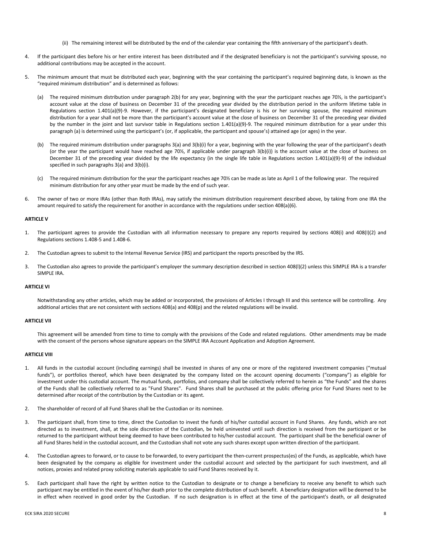- (ii) The remaining interest will be distributed by the end of the calendar year containing the fifth anniversary of the participant's death.
- 4. If the participant dies before his or her entire interest has been distributed and if the designated beneficiary is not the participant's surviving spouse, no additional contributions may be accepted in the account.
- 5. The minimum amount that must be distributed each year, beginning with the year containing the participant's required beginning date, is known as the "required minimum distribution" and is determined as follows:
	- (a) The required minimum distribution under paragraph 2(b) for any year, beginning with the year the participant reaches age 70½, is the participant's account value at the close of business on December 31 of the preceding year divided by the distribution period in the uniform lifetime table in Regulations section 1.401(a)(9)-9. However, if the participant's designated beneficiary is his or her surviving spouse, the required minimum distribution for a year shall not be more than the participant's account value at the close of business on December 31 of the preceding year divided by the number in the joint and last survivor table in Regulations section 1.401(a)(9)-9. The required minimum distribution for a year under this paragraph (a) is determined using the participant's (or, if applicable, the participant and spouse's) attained age (or ages) in the year.
	- (b) The required minimum distribution under paragraphs 3(a) and 3(b)(i) for a year, beginning with the year following the year of the participant's death (or the year the participant would have reached age 70½, if applicable under paragraph 3(b)(i)) is the account value at the close of business on December 31 of the preceding year divided by the life expectancy (in the single life table in Regulations section 1.401(a)(9)-9) of the individual specified in such paragraphs 3(a) and 3(b)(i).
	- (c) The required minimum distribution for the year the participant reaches age 70½ can be made as late as April 1 of the following year. The required minimum distribution for any other year must be made by the end of such year.
- 6. The owner of two or more IRAs (other than Roth IRAs), may satisfy the minimum distribution requirement described above, by taking from one IRA the amount required to satisfy the requirement for another in accordance with the regulations under section 408(a)(6).

#### **ARTICLE V**

- 1. The participant agrees to provide the Custodian with all information necessary to prepare any reports required by sections 408(i) and 408(I)(2) and Regulations sections 1.408-5 and 1.408-6.
- 2. The Custodian agrees to submit to the Internal Revenue Service (IRS) and participant the reports prescribed by the IRS.
- 3. The Custodian also agrees to provide the participant's employer the summary description described in section 408(l)(2) unless this SIMPLE IRA is a transfer SIMPLE IRA.

#### **ARTICLE VI**

Notwithstanding any other articles, which may be added or incorporated, the provisions of Articles I through III and this sentence will be controlling. Any additional articles that are not consistent with sections 408(a) and 408(p) and the related regulations will be invalid.

### **ARTICLE VII**

This agreement will be amended from time to time to comply with the provisions of the Code and related regulations. Other amendments may be made with the consent of the persons whose signature appears on the SIMPLE IRA Account Application and Adoption Agreement.

#### **ARTICLE VIII**

- 1. All funds in the custodial account (including earnings) shall be invested in shares of any one or more of the registered investment companies ("mutual funds"), or portfolios thereof, which have been designated by the company listed on the account opening documents ("company") as eligible for investment under this custodial account. The mutual funds, portfolios, and company shall be collectively referred to herein as "the Funds" and the shares of the Funds shall be collectively referred to as "Fund Shares". Fund Shares shall be purchased at the public offering price for Fund Shares next to be determined after receipt of the contribution by the Custodian or its agent.
- 2. The shareholder of record of all Fund Shares shall be the Custodian or its nominee.
- 3. The participant shall, from time to time, direct the Custodian to invest the funds of his/her custodial account in Fund Shares. Any funds, which are not directed as to investment, shall, at the sole discretion of the Custodian, be held uninvested until such direction is received from the participant or be returned to the participant without being deemed to have been contributed to his/her custodial account. The participant shall be the beneficial owner of all Fund Shares held in the custodial account, and the Custodian shall not vote any such shares except upon written direction of the participant.
- 4. The Custodian agrees to forward, or to cause to be forwarded, to every participant the then-current prospectus(es) of the Funds, as applicable, which have been designated by the company as eligible for investment under the custodial account and selected by the participant for such investment, and all notices, proxies and related proxy soliciting materials applicable to said Fund Shares received by it.
- 5. Each participant shall have the right by written notice to the Custodian to designate or to change a beneficiary to receive any benefit to which such participant may be entitled in the event of his/her death prior to the complete distribution of such benefit. A beneficiary designation will be deemed to be in effect when received in good order by the Custodian. If no such designation is in effect at the time of the participant's death, or all designated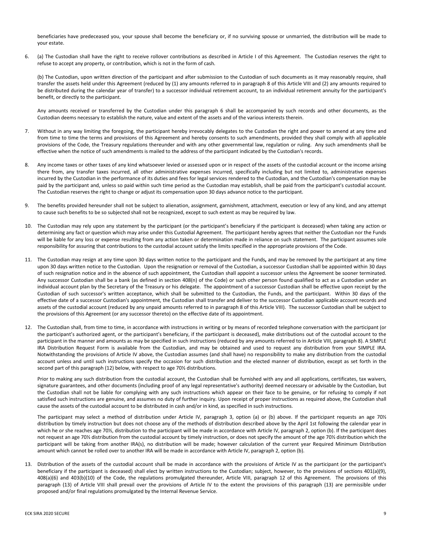beneficiaries have predeceased you, your spouse shall become the beneficiary or, if no surviving spouse or unmarried, the distribution will be made to your estate.

6. (a) The Custodian shall have the right to receive rollover contributions as described in Article I of this Agreement. The Custodian reserves the right to refuse to accept any property, or contribution, which is not in the form of cash.

(b) The Custodian, upon written direction of the participant and after submission to the Custodian of such documents as it may reasonably require, shall transfer the assets held under this Agreement (reduced by (1) any amounts referred to in paragraph 8 of this Article VIII and (2) any amounts required to be distributed during the calendar year of transfer) to a successor individual retirement account, to an individual retirement annuity for the participant's benefit, or directly to the participant.

Any amounts received or transferred by the Custodian under this paragraph 6 shall be accompanied by such records and other documents, as the Custodian deems necessary to establish the nature, value and extent of the assets and of the various interests therein.

- 7. Without in any way limiting the foregoing, the participant hereby irrevocably delegates to the Custodian the right and power to amend at any time and from time to time the terms and provisions of this Agreement and hereby consents to such amendments, provided they shall comply with all applicable provisions of the Code, the Treasury regulations thereunder and with any other governmental law, regulation or ruling. Any such amendments shall be effective when the notice of such amendments is mailed to the address of the participant indicated by the Custodian's records.
- 8. Any income taxes or other taxes of any kind whatsoever levied or assessed upon or in respect of the assets of the custodial account or the income arising there from, any transfer taxes incurred, all other administrative expenses incurred, specifically including but not limited to, administrative expenses incurred by the Custodian in the performance of its duties and fees for legal services rendered to the Custodian, and the Custodian's compensation may be paid by the participant and, unless so paid within such time period as the Custodian may establish, shall be paid from the participant's custodial account. The Custodian reserves the right to change or adjust its compensation upon 30 days advance notice to the participant.
- 9. The benefits provided hereunder shall not be subject to alienation, assignment, garnishment, attachment, execution or levy of any kind, and any attempt to cause such benefits to be so subjected shall not be recognized, except to such extent as may be required by law.
- 10. The Custodian may rely upon any statement by the participant (or the participant's beneficiary if the participant is deceased) when taking any action or determining any fact or question which may arise under this Custodial Agreement. The participant hereby agrees that neither the Custodian nor the Funds will be liable for any loss or expense resulting from any action taken or determination made in reliance on such statement. The participant assumes sole responsibility for assuring that contributions to the custodial account satisfy the limits specified in the appropriate provisions of the Code.
- 11. The Custodian may resign at any time upon 30 days written notice to the participant and the Funds**,** and may be removed by the participant at any time upon 30 days written notice to the Custodian. Upon the resignation or removal of the Custodian, a successor Custodian shall be appointed within 30 days of such resignation notice and in the absence of such appointment, the Custodian shall appoint a successor unless the Agreement be sooner terminated. Any successor Custodian shall be a bank (as defined in section 408(n) of the Code) or such other person found qualified to act as a Custodian under an individual account plan by the Secretary of the Treasury or his delegate. The appointment of a successor Custodian shall be effective upon receipt by the Custodian of such successor's written acceptance, which shall be submitted to the Custodian, the Funds, and the participant. Within 30 days of the effective date of a successor Custodian's appointment, the Custodian shall transfer and deliver to the successor Custodian applicable account records and assets of the custodial account (reduced by any unpaid amounts referred to in paragraph 8 of this Article VIII). The successor Custodian shall be subject to the provisions of this Agreement (or any successor thereto) on the effective date of its appointment.
- 12. The Custodian shall, from time to time, in accordance with instructions in writing or by means of recorded telephone conversation with the participant (or the participant's authorized agent, or the participant's beneficiary, if the participant is deceased), make distributions out of the custodial account to the participant in the manner and amounts as may be specified in such instructions (reduced by any amounts referred to in Article VIII, paragraph 8). A SIMPLE IRA Distribution Request Form is available from the Custodian, and may be obtained and used to request any distribution from your SIMPLE IRA. Notwithstanding the provisions of Article IV above, the Custodian assumes (and shall have) no responsibility to make any distribution from the custodial account unless and until such instructions specify the occasion for such distribution and the elected manner of distribution, except as set forth in the second part of this paragraph (12) below, with respect to age 70½ distributions.

Prior to making any such distribution from the custodial account, the Custodian shall be furnished with any and all applications, certificates, tax waivers, signature guarantees, and other documents (including proof of any legal representative's authority) deemed necessary or advisable by the Custodian, but the Custodian shall not be liable for complying with any such instructions which appear on their face to be genuine, or for refusing to comply if not satisfied such instructions are genuine, and assumes no duty of further inquiry. Upon receipt of proper instructions as required above, the Custodian shall cause the assets of the custodial account to be distributed in cash and/or in kind, as specified in such instructions.

The participant may select a method of distribution under Article IV, paragraph 3, option (a) or (b) above. If the participant requests an age 70½ distribution by timely instruction but does not choose any of the methods of distribution described above by the April 1st following the calendar year in which he or she reaches age 70%, distribution to the participant will be made in accordance with Article IV, paragraph 2, option (b). If the participant does not request an age 70½ distribution from the custodial account by timely instruction, or does not specify the amount of the age 70½ distribution which the participant will be taking from another IRA(s), no distribution will be made; however calculation of the current year Required Minimum Distribution amount which cannot be rolled over to another IRA will be made in accordance with Article IV, paragraph 2, option (b).

13. Distribution of the assets of the custodial account shall be made in accordance with the provisions of Article IV as the participant (or the participant's beneficiary if the participant is deceased) shall elect by written instructions to the Custodian; subject, however, to the provisions of sections 401(a)(9), 408(a)(6) and 403(b)(10) of the Code, the regulations promulgated thereunder, Article VIII, paragraph 12 of this Agreement. The provisions of this paragraph (13) of Article VIII shall prevail over the provisions of Article IV to the extent the provisions of this paragraph (13) are permissible under proposed and/or final regulations promulgated by the Internal Revenue Service.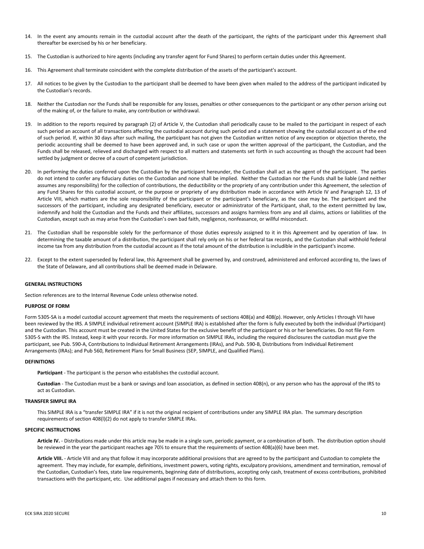- 14. In the event any amounts remain in the custodial account after the death of the participant, the rights of the participant under this Agreement shall thereafter be exercised by his or her beneficiary.
- 15. The Custodian is authorized to hire agents (including any transfer agent for Fund Shares) to perform certain duties under this Agreement.
- 16. This Agreement shall terminate coincident with the complete distribution of the assets of the participant's account.
- 17. All notices to be given by the Custodian to the participant shall be deemed to have been given when mailed to the address of the participant indicated by the Custodian's records.
- 18. Neither the Custodian nor the Funds shall be responsible for any losses, penalties or other consequences to the participant or any other person arising out of the making of, or the failure to make, any contribution or withdrawal.
- 19. In addition to the reports required by paragraph (2) of Article V, the Custodian shall periodically cause to be mailed to the participant in respect of each such period an account of all transactions affecting the custodial account during such period and a statement showing the custodial account as of the end of such period. If, within 30 days after such mailing, the participant has not given the Custodian written notice of any exception or objection thereto, the periodic accounting shall be deemed to have been approved and, in such case or upon the written approval of the participant, the Custodian, and the Funds shall be released, relieved and discharged with respect to all matters and statements set forth in such accounting as though the account had been settled by judgment or decree of a court of competent jurisdiction.
- 20. In performing the duties conferred upon the Custodian by the participant hereunder, the Custodian shall act as the agent of the participant. The parties do not intend to confer any fiduciary duties on the Custodian and none shall be implied. Neither the Custodian nor the Funds shall be liable (and neither assumes any responsibility) for the collection of contributions, the deductibility or the propriety of any contribution under this Agreement, the selection of any Fund Shares for this custodial account, or the purpose or propriety of any distribution made in accordance with Article IV and Paragraph 12, 13 of Article VIII, which matters are the sole responsibility of the participant or the participant's beneficiary, as the case may be. The participant and the successors of the participant, including any designated beneficiary, executor or administrator of the Participant, shall, to the extent permitted by law, indemnify and hold the Custodian and the Funds and their affiliates, successors and assigns harmless from any and all claims, actions or liabilities of the Custodian, except such as may arise from the Custodian's own bad faith, negligence, nonfeasance, or willful misconduct.
- 21. The Custodian shall be responsible solely for the performance of those duties expressly assigned to it in this Agreement and by operation of law. In determining the taxable amount of a distribution, the participant shall rely only on his or her federal tax records, and the Custodian shall withhold federal income tax from any distribution from the custodial account as if the total amount of the distribution is includible in the participant's income.
- 22. Except to the extent superseded by federal law, this Agreement shall be governed by, and construed, administered and enforced according to, the laws of the State of Delaware, and all contributions shall be deemed made in Delaware.

#### **GENERAL INSTRUCTIONS**

Section references are to the Internal Revenue Code unless otherwise noted.

#### **PURPOSE OF FORM**

Form 5305-SA is a model custodial account agreement that meets the requirements of sections 408(a) and 408(p). However, only Articles I through VII have been reviewed by the IRS. A SIMPLE individual retirement account (SIMPLE IRA) is established after the form is fully executed by both the individual (Participant) and the Custodian. This account must be created in the United States for the exclusive benefit of the participant or his or her beneficiaries. Do not file Form 5305-S with the IRS. Instead, keep it with your records. For more information on SIMPLE IRAs, including the required disclosures the custodian must give the participant, see Pub. 590-A, Contributions to Individual Retirement Arrangements (IRAs), and Pub. 590-B, Distributions from Individual Retirement Arrangements (IRAs); and Pub 560, Retirement Plans for Small Business (SEP, SIMPLE, and Qualified Plans).

#### **DEFINITIONS**

**Participant** - The participant is the person who establishes the custodial account.

**Custodian** - The Custodian must be a bank or savings and loan association, as defined in section 408(n), or any person who has the approval of the IRS to act as Custodian.

#### **TRANSFER SIMPLE IRA**

This SIMPLE IRA is a "transfer SIMPLE IRA" if it is not the original recipient of contributions under any SIMPLE IRA plan. The summary description requirements of section 408(l)(2) do not apply to transfer SIMPLE IRAs.

#### **SPECIFIC INSTRUCTIONS**

**Article IV.** - Distributions made under this article may be made in a single sum, periodic payment, or a combination of both. The distribution option should be reviewed in the year the participant reaches age 70½ to ensure that the requirements of section 408(a)(6) have been met.

**Article VIII.** - Article VIII and any that follow it may incorporate additional provisions that are agreed to by the participant and Custodian to complete the agreement. They may include, for example, definitions, investment powers, voting rights, exculpatory provisions, amendment and termination, removal of the Custodian, Custodian's fees, state law requirements, beginning date of distributions, accepting only cash, treatment of excess contributions, prohibited transactions with the participant, etc. Use additional pages if necessary and attach them to this form.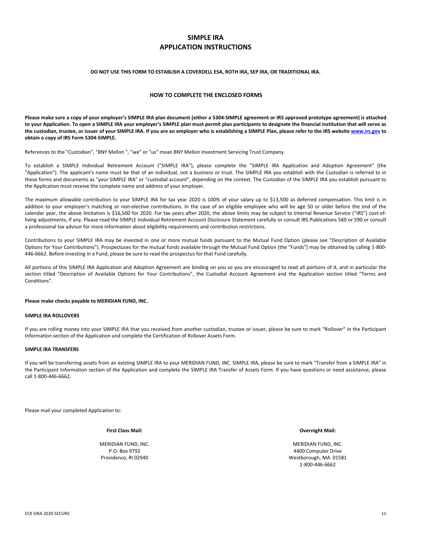# **SIMPLE IRA APPLICATION INSTRUCTIONS**

### **DO NOT USE THIS FORM TO ESTABLISH A COVERDELL ESA, ROTH IRA, SEP IRA, OR TRADITIONAL IRA.**

#### **HOW TO COMPLETE THE ENCLOSED FORMS**

**Please make sure a copy of your employer's SIMPLE IRA plan document (either a 5304-SIMPLE agreement or IRS approved prototype agreement) is attached to your Application. To open a SIMPLE IRA your employer's SIMPLE plan must permit plan participants to designate the financial institution that will serve as the custodian, trustee, or issuer of your SIMPLE IRA. If you are an employer who is establishing a SIMPLE Plan, please refer to the IRS website www.irs.gov to obtain a copy of IRS Form 5304-SIMPLE.** 

References to the "Custodian", "BNY Mellon ", "we" or "us" mean BNY Mellon Investment Servicing Trust Company.

To establish a SIMPLE Individual Retirement Account ("SIMPLE IRA"), please complete the "SIMPLE IRA Application and Adoption Agreement" (the "Application"). The applicant's name must be that of an individual, not a business or trust. The SIMPLE IRA you establish with the Custodian is referred to in these forms and documents as "your SIMPLE IRA" or "custodial account", depending on the context. The Custodian of the SIMPLE IRA you establish pursuant to the Application must receive the complete name and address of your employer.

The maximum allowable contribution to your SIMPLE IRA for tax year 2020 is 100% of your salary up to \$13,500 as deferred compensation. This limit is in addition to your employer's matching or non-elective contributions. In the case of an eligible employee who will be age 50 or older before the end of the calendar year, the above limitation is \$16,500 for 2020. For tax years after 2020, the above limits may be subject to Internal Revenue Service ("IRS") cost-ofliving adjustments, if any. Please read the SIMPLE Individual Retirement Account Disclosure Statement carefully or consult IRS Publications 560 or 590 or consult a professional tax advisor for more information about eligibility requirements and contribution restrictions.

Contributions to your SIMPLE IRA may be invested in one or more mutual funds pursuant to the Mutual Fund Option (please see "Description of Available Options for Your Contributions"). Prospectuses for the mutual funds available through the Mutual Fund Option (the "Funds") may be obtained by calling 1-800- 446-6662. Before investing in a Fund, please be sure to read the prospectus for that Fund carefully.

All portions of this SIMPLE IRA Application and Adoption Agreement are binding on you so you are encouraged to read all portions of it, and in particular the section titled "Description of Available Options for Your Contributions", the Custodial Account Agreement and the Application section titled "Terms and Conditions".

#### **Please make checks payable to MERIDIAN FUND, INC.**

#### **SIMPLE IRA ROLLOVERS**

If you are rolling money into your SIMPLE IRA that you received from another custodian, trustee or issuer, please be sure to mark "Rollover" in the Participant Information section of the Application and complete the Certification of Rollover Assets Form.

#### **SIMPLE IRA TRANSFERS**

If you will be transferring assets from an existing SIMPLE IRA to your MERIDIAN FUND, INC. SIMPLE IRA, please be sure to mark "Transfer from a SIMPLE IRA" in the Participant Information section of the Application and complete the SIMPLE IRA Transfer of Assets Form. If you have questions or need assistance, please call 1-800-446-6662.

Please mail your completed Application to:

**First Class Mail:** 

MERIDIAN FUND, INC. P.O. Box 9792 Providence, RI 02940

**Overnight Mail:** 

MERIDIAN FUND, INC. 4400 Computer Drive Westborough, MA 01581 1-800-446-6662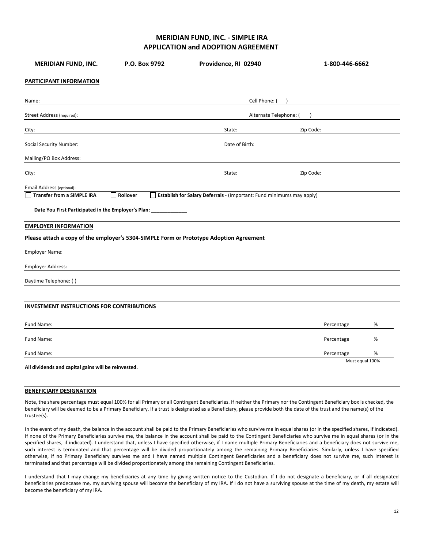# **MERIDIAN FUND, INC. - SIMPLE IRA APPLICATION and ADOPTION AGREEMENT**

| <b>MERIDIAN FUND, INC.</b>                                                                                                                                                                             | P.O. Box 9792 | Providence, RI 02940 | 1-800-446-6662 |                 |
|--------------------------------------------------------------------------------------------------------------------------------------------------------------------------------------------------------|---------------|----------------------|----------------|-----------------|
| PARTICIPANT INFORMATION                                                                                                                                                                                |               |                      |                |                 |
| Name:                                                                                                                                                                                                  |               | Cell Phone: (        |                |                 |
| Street Address (required):                                                                                                                                                                             |               | Alternate Telephone: |                |                 |
| City:                                                                                                                                                                                                  |               | State:               | Zip Code:      |                 |
| Social Security Number:                                                                                                                                                                                |               | Date of Birth:       |                |                 |
| Mailing/PO Box Address:                                                                                                                                                                                |               |                      |                |                 |
| City:                                                                                                                                                                                                  |               | State:               | Zip Code:      |                 |
| Email Address (optional):                                                                                                                                                                              |               |                      |                |                 |
| Date You First Participated in the Employer's Plan:<br><b>EMPLOYER INFORMATION</b><br>Please attach a copy of the employer's 5304-SIMPLE Form or Prototype Adoption Agreement<br><b>Employer Name:</b> |               |                      |                |                 |
| <b>Employer Address:</b>                                                                                                                                                                               |               |                      |                |                 |
| Daytime Telephone: ()                                                                                                                                                                                  |               |                      |                |                 |
| <b>INVESTMENT INSTRUCTIONS FOR CONTRIBUTIONS</b>                                                                                                                                                       |               |                      |                |                 |
| Fund Name:                                                                                                                                                                                             |               |                      | Percentage     | %               |
| Fund Name:                                                                                                                                                                                             |               |                      | Percentage     | %               |
| Fund Name:                                                                                                                                                                                             |               |                      | Percentage     | %               |
| All dividends and capital gains will be reinvested.                                                                                                                                                    |               |                      |                | Must equal 100% |

## **BENEFICIARY DESIGNATION**

Note, the share percentage must equal 100% for all Primary or all Contingent Beneficiaries. If neither the Primary nor the Contingent Beneficiary box is checked, the beneficiary will be deemed to be a Primary Beneficiary. If a trust is designated as a Beneficiary, please provide both the date of the trust and the name(s) of the trustee(s).

In the event of my death, the balance in the account shall be paid to the Primary Beneficiaries who survive me in equal shares (or in the specified shares, if indicated). If none of the Primary Beneficiaries survive me, the balance in the account shall be paid to the Contingent Beneficiaries who survive me in equal shares (or in the specified shares, if indicated). I understand that, unless I have specified otherwise, if I name multiple Primary Beneficiaries and a beneficiary does not survive me, such interest is terminated and that percentage will be divided proportionately among the remaining Primary Beneficiaries. Similarly, unless I have specified otherwise, if no Primary Beneficiary survives me and I have named multiple Contingent Beneficiaries and a beneficiary does not survive me, such interest is terminated and that percentage will be divided proportionately among the remaining Contingent Beneficiaries.

I understand that I may change my beneficiaries at any time by giving written notice to the Custodian. If I do not designate a beneficiary, or if all designated beneficiaries predecease me, my surviving spouse will become the beneficiary of my IRA. If I do not have a surviving spouse at the time of my death, my estate will become the beneficiary of my IRA.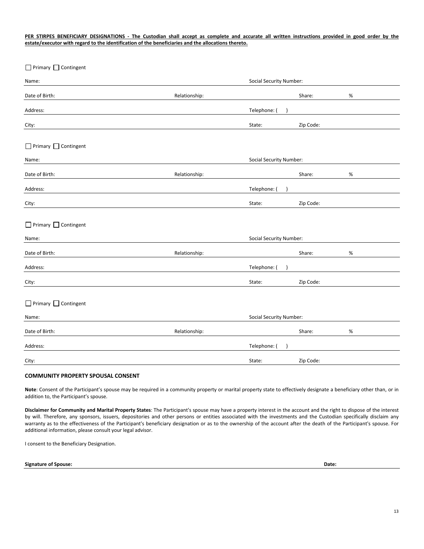### **PER STIRPES BENEFICIARY DESIGNATIONS - The Custodian shall accept as complete and accurate all written instructions provided in good order by the estate/executor with regard to the identification of the beneficiaries and the allocations thereto.**

| $\Box$ Primary $\Box$ Contingent |               |                                |           |      |
|----------------------------------|---------------|--------------------------------|-----------|------|
| Name:                            |               | <b>Social Security Number:</b> |           |      |
| Date of Birth:                   | Relationship: |                                | Share:    | $\%$ |
| Address:                         |               | Telephone: (                   |           |      |
| City:                            |               | State:                         | Zip Code: |      |
| $\Box$ Primary $\Box$ Contingent |               |                                |           |      |
| Name:                            |               | Social Security Number:        |           |      |
| Date of Birth:                   | Relationship: |                                | Share:    | $\%$ |
| Address:                         |               | Telephone: (                   |           |      |
| City:                            |               | State:                         | Zip Code: |      |
| $\Box$ Primary $\Box$ Contingent |               |                                |           |      |
| Name:                            |               | Social Security Number:        |           |      |
| Date of Birth:                   | Relationship: |                                | Share:    | $\%$ |
| Address:                         |               | Telephone: (                   |           |      |
| City:                            |               | State:                         | Zip Code: |      |
| Primary Contingent               |               |                                |           |      |
| Name:                            |               | <b>Social Security Number:</b> |           |      |
| Date of Birth:                   | Relationship: |                                | Share:    | $\%$ |
| Address:                         |               | Telephone: (                   |           |      |
| City:                            |               | State:                         | Zip Code: |      |

### **COMMUNITY PROPERTY SPOUSAL CONSENT**

**Note**: Consent of the Participant's spouse may be required in a community property or marital property state to effectively designate a beneficiary other than, or in addition to, the Participant's spouse.

**Disclaimer for Community and Marital Property States**: The Participant's spouse may have a property interest in the account and the right to dispose of the interest by will. Therefore, any sponsors, issuers, depositories and other persons or entities associated with the investments and the Custodian specifically disclaim any warranty as to the effectiveness of the Participant's beneficiary designation or as to the ownership of the account after the death of the Participant's spouse. For additional information, please consult your legal advisor.

I consent to the Beneficiary Designation.

### **Signature of Spouse:** Date: **Date:** Date: **Date: Date: Date: Date: Date: Date: Date: Date: Date: Date: Date: Date: Date: Date: Date: Date: Date: Date: Date: Date: Date: Date: Da**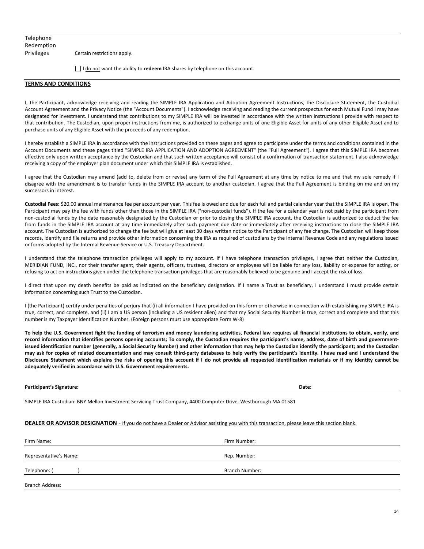# Telephone Redemption

Privileges Certain restrictions apply.

I do not want the ability to **redeem** IRA shares by telephone on this account.

# **TERMS AND CONDITIONS**

I, the Participant, acknowledge receiving and reading the SIMPLE IRA Application and Adoption Agreement Instructions, the Disclosure Statement, the Custodial Account Agreement and the Privacy Notice (the "Account Documents"). I acknowledge receiving and reading the current prospectus for each Mutual Fund I may have designated for investment. I understand that contributions to my SIMPLE IRA will be invested in accordance with the written instructions I provide with respect to that contribution. The Custodian, upon proper instructions from me, is authorized to exchange units of one Eligible Asset for units of any other Eligible Asset and to purchase units of any Eligible Asset with the proceeds of any redemption.

I hereby establish a SIMPLE IRA in accordance with the instructions provided on these pages and agree to participate under the terms and conditions contained in the Account Documents and these pages titled "SIMPLE IRA APPLICATION AND ADOPTION AGREEMENT" (the "Full Agreement"). I agree that this SIMPLE IRA becomes effective only upon written acceptance by the Custodian and that such written acceptance will consist of a confirmation of transaction statement. I also acknowledge receiving a copy of the employer plan document under which this SIMPLE IRA is established.

I agree that the Custodian may amend (add to, delete from or revise) any term of the Full Agreement at any time by notice to me and that my sole remedy if I disagree with the amendment is to transfer funds in the SIMPLE IRA account to another custodian. I agree that the Full Agreement is binding on me and on my successors in interest.

**Custodial Fees:** \$20.00 annual maintenance fee per account per year. This fee is owed and due for each full and partial calendar year that the SIMPLE IRA is open. The Participant may pay the fee with funds other than those in the SIMPLE IRA ("non-custodial funds"). If the fee for a calendar year is not paid by the participant from non-custodial funds by the date reasonably designated by the Custodian or prior to closing the SIMPLE IRA account, the Custodian is authorized to deduct the fee from funds in the SIMPLE IRA account at any time immediately after such payment due date or immediately after receiving instructions to close the SIMPLE IRA account. The Custodian is authorized to change the fee but will give at least 30 days written notice to the Participant of any fee change. The Custodian will keep those records, identify and file returns and provide other information concerning the IRA as required of custodians by the Internal Revenue Code and any regulations issued or forms adopted by the Internal Revenue Service or U.S. Treasury Department.

I understand that the telephone transaction privileges will apply to my account. If I have telephone transaction privileges, I agree that neither the Custodian, MERIDIAN FUND, INC., nor their transfer agent, their agents, officers, trustees, directors or employees will be liable for any loss, liability or expense for acting, or refusing to act on instructions given under the telephone transaction privileges that are reasonably believed to be genuine and I accept the risk of loss.

I direct that upon my death benefits be paid as indicated on the beneficiary designation. If I name a Trust as beneficiary, I understand I must provide certain information concerning such Trust to the Custodian.

I (the Participant) certify under penalties of perjury that (i) all information I have provided on this form or otherwise in connection with establishing my SIMPLE IRA is true, correct, and complete, and (ii) I am a US person (including a US resident alien) and that my Social Security Number is true, correct and complete and that this number is my Taxpayer Identification Number. (Foreign persons must use appropriate Form W-8)

**To help the U.S. Government fight the funding of terrorism and money laundering activities, Federal law requires all financial institutions to obtain, verify, and record information that identifies persons opening accounts; To comply, the Custodian requires the participant's name, address, date of birth and governmentissued identification number (generally, a Social Security Number) and other information that may help the Custodian identify the participant; and the Custodian may ask for copies of related documentation and may consult third-party databases to help verify the participant's identity. I have read and I understand the Disclosure Statement which explains the risks of opening this account if I do not provide all requested identification materials or if my identity cannot be adequately verified in accordance with U.S. Government requirements.** 

### **Participant's Signature:** Date: **Date: Date: Date: Date: Date: Date: Date: Date: Date: Date: Date: Date: Date: Date: Date: Date: Date: Date: Date: Date: Date: Date: Date: Date**

SIMPLE IRA Custodian: BNY Mellon Investment Servicing Trust Company, 4400 Computer Drive, Westborough MA 01581

# **DEALER OR ADVISOR DESIGNATION** - If you do not have a Dealer or Advisor assisting you with this transaction, please leave this section blank.

| Firm Name:             | Firm Number:   |
|------------------------|----------------|
| Representative's Name: | Rep. Number:   |
| Telephone: (           | Branch Number: |
| <b>Branch Address:</b> |                |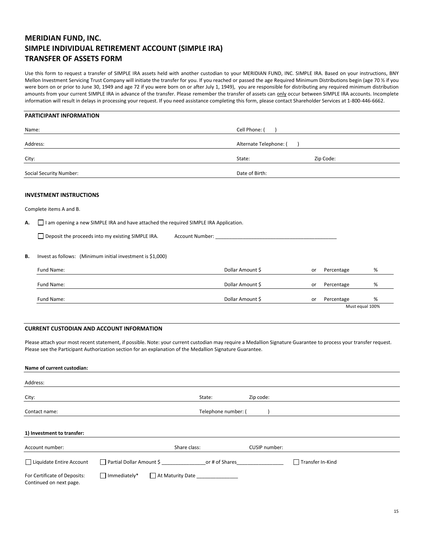# **MERIDIAN FUND, INC. SIMPLE INDIVIDUAL RETIREMENT ACCOUNT (SIMPLE IRA) TRANSFER OF ASSETS FORM**

Use this form to request a transfer of SIMPLE IRA assets held with another custodian to your MERIDIAN FUND, INC. SIMPLE IRA. Based on your instructions, BNY Mellon Investment Servicing Trust Company will initiate the transfer for you. If you reached or passed the age Required Minimum Distributions begin (age 70 % if you were born on or prior to June 30, 1949 and age 72 if you were born on or after July 1, 1949), you are responsible for distributing any required minimum distribution amounts from your current SIMPLE IRA in advance of the transfer. Please remember the transfer of assets can only occur between SIMPLE IRA accounts. Incomplete information will result in delays in processing your request. If you need assistance completing this form, please contact Shareholder Services at 1-800-446-6662.

# **PARTICIPANT INFORMATION**

| Name:                   | Cell Phone: (          |           |
|-------------------------|------------------------|-----------|
| Address:                | Alternate Telephone: ( |           |
| City:                   | State:                 | Zip Code: |
| Social Security Number: | Date of Birth:         |           |

# **INVESTMENT INSTRUCTIONS**

Complete items A and B.

A.  $\Box$  I am opening a new SIMPLE IRA and have attached the required SIMPLE IRA Application.

Deposit the proceeds into my existing SIMPLE IRA. Account Number:

#### **B.** Invest as follows: (Minimum initial investment is \$1,000)

| Fund Name: | Dollar Amount \$ | or | Percentage | %               |
|------------|------------------|----|------------|-----------------|
| Fund Name: | Dollar Amount \$ | or | Percentage | %               |
| Fund Name: | Dollar Amount \$ | or | Percentage | %               |
|            |                  |    |            | Must equal 100% |

# **CURRENT CUSTODIAN AND ACCOUNT INFORMATION**

Please attach your most recent statement, if possible. Note: your current custodian may require a Medallion Signature Guarantee to process your transfer request. Please see the Participant Authorization section for an explanation of the Medallion Signature Guarantee.

#### **Name of current custodian:**

| Address:                                                |                     |                            |                     |                         |  |
|---------------------------------------------------------|---------------------|----------------------------|---------------------|-------------------------|--|
| City:                                                   |                     | State:                     | Zip code:           |                         |  |
| Contact name:                                           |                     |                            | Telephone number: ( |                         |  |
|                                                         |                     |                            |                     |                         |  |
| 1) Investment to transfer:                              |                     |                            |                     |                         |  |
| Account number:                                         |                     | Share class:               | CUSIP number:       |                         |  |
| Liquidate Entire Account                                |                     | □ Partial Dollar Amount \$ | or # of Shares      | $\Box$ Transfer In-Kind |  |
| For Certificate of Deposits:<br>Continued on next page. | $\Box$ Immediately* | At Maturity Date           |                     |                         |  |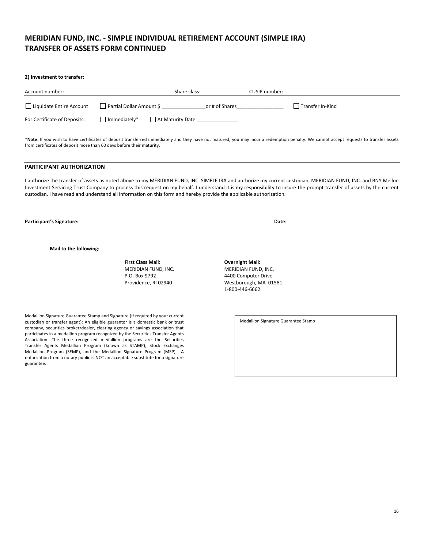# **MERIDIAN FUND, INC. - SIMPLE INDIVIDUAL RETIREMENT ACCOUNT (SIMPLE IRA) TRANSFER OF ASSETS FORM CONTINUED**

| 2) Investment to transfer:   |                          |                  |               |                         |
|------------------------------|--------------------------|------------------|---------------|-------------------------|
| Account number:              |                          | Share class:     | CUSIP number: |                         |
| Liquidate Entire Account     | Partial Dollar Amount \$ | or # of Shares   |               | $\Box$ Transfer In-Kind |
| For Certificate of Deposits: | $\Box$ Immediately*      | At Maturity Date |               |                         |
|                              |                          |                  |               |                         |

**\*Note:** If you wish to have certificates of deposit transferred immediately and they have not matured, you may incur a redemption penalty. We cannot accept requests to transfer assets from certificates of deposit more than 60 days before their maturity.

# **PARTICIPANT AUTHORIZATION**

I authorize the transfer of assets as noted above to my MERIDIAN FUND, INC. SIMPLE IRA and authorize my current custodian, MERIDIAN FUND, INC. and BNY Mellon Investment Servicing Trust Company to process this request on my behalf. I understand it is my responsibility to insure the prompt transfer of assets by the current custodian. I have read and understand all information on this form and hereby provide the applicable authorization.

#### **Participant's Signature: Date: Date: Date: Date: Date: Date: Date: Date: Date: Date: Date: Date: Date: Date: Date: Date: Date: Date: Date: Date: Date: Date: Date: Date: Da**

 **Mail to the following:** 

**First Class Mail: Overnight Mail:**  MERIDIAN FUND, INC. MERIDIAN FUND, INC. P.O. Box 9792 **4400 Computer Drive**<br>Providence, RI 02940 **1980 Westborough, MA** 01

Medallion Signature Guarantee Stamp and Signature (If required by your current custodian or transfer agent): An eligible guarantor is a domestic bank or trust company, securities broker/dealer, clearing agency or savings association that participates in a medallion program recognized by the Securities Transfer Agents Association. The three recognized medallion programs are the Securities Transfer Agents Medallion Program (known as STAMP), Stock Exchanges Medallion Program (SEMP), and the Medallion Signature Program (MSP). A notarization from a notary public is NOT an acceptable substitute for a signature guarantee.

Westborough, MA 01581 1-800-446-6662

Medallion Signature Guarantee Stamp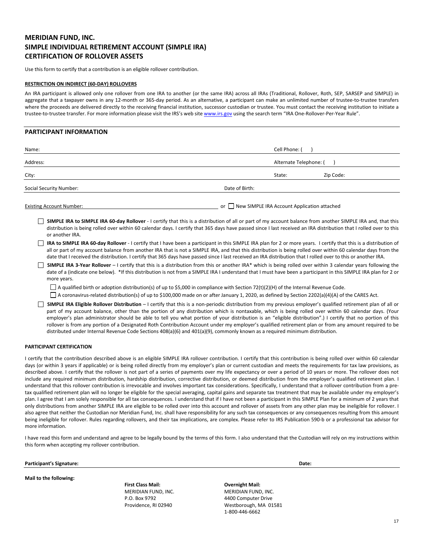# **MERIDIAN FUND, INC. SIMPLE INDIVIDUAL RETIREMENT ACCOUNT (SIMPLE IRA) CERTIFICATION OF ROLLOVER ASSETS**

Use this form to certify that a contribution is an eligible rollover contribution.

#### **RESTRICTION ON INDIRECT (60-DAY) ROLLOVERS**

An IRA participant is allowed only one rollover from one IRA to another (or the same IRA) across all IRAs (Traditional, Rollover, Roth, SEP, SARSEP and SIMPLE) in aggregate that a taxpayer owns in any 12-month or 365-day period. As an alternative, a participant can make an unlimited number of trustee-to-trustee transfers where the proceeds are delivered directly to the receiving financial institution, successor custodian or trustee. You must contact the receiving institution to initiate a trustee-to-trustee transfer. For more information please visit the IRS's web site www.irs.gov using the search term "IRA One-Rollover-Per-Year Rule".

# **PARTICIPANT INFORMATION**

| Name:                          | Cell Phone: (          |
|--------------------------------|------------------------|
| Address:                       | Alternate Telephone: ( |
| City:                          | Zip Code:<br>State:    |
| <b>Social Security Number:</b> | Date of Birth:         |
|                                |                        |

Existing Account Number: **Existing Account Number: but a strached**  $\Box$  New SIMPLE IRA Account Application attached

 **SIMPLE IRA to SIMPLE IRA 60-day Rollover** - I certify that this is a distribution of all or part of my account balance from another SIMPLE IRA and, that this distribution is being rolled over within 60 calendar days. I certify that 365 days have passed since I last received an IRA distribution that I rolled over to this or another IRA.

 **IRA to SIMPLE IRA 60-day Rollover** - I certify that I have been a participant in this SIMPLE IRA plan for 2 or more years. I certify that this is a distribution of all or part of my account balance from another IRA that is not a SIMPLE IRA, and that this distribution is being rolled over within 60 calendar days from the date that I received the distribution. I certify that 365 days have passed since I last received an IRA distribution that I rolled over to this or another IRA.

**SIMPLE IRA 3-Year Rollover** – I certify that this is a distribution from this or another IRA<sup>\*</sup> which is being rolled over within 3 calendar years following the date of a (indicate one below). \*If this distribution is not from a SIMPLE IRA I understand that I must have been a participant in this SIMPLE IRA plan for 2 or more years.

 $\Box$  A qualified birth or adoption distribution(s) of up to \$5,000 in compliance with Section 72(t)(2)(H) of the Internal Revenue Code.

A coronavirus-related distribution(s) of up to \$100,000 made on or after January 1, 2020, as defined by Section 2202(a)(4)(A) of the CARES Act.

 **SIMPLE IRA Eligible Rollover Distribution** – I certify that this is a non-periodic distribution from my previous employer's qualified retirement plan of all or part of my account balance, other than the portion of any distribution which is nontaxable, which is being rolled over within 60 calendar days. (Your employer's plan administrator should be able to tell you what portion of your distribution is an "eligible distribution".) I certify that no portion of this rollover is from any portion of a Designated Roth Contribution Account under my employer's qualified retirement plan or from any amount required to be distributed under Internal Revenue Code Sections 408(a)(6) and 401(a)(9), commonly known as a required minimum distribution.

#### **PARTICIPANT CERTIFICATION**

I certify that the contribution described above is an eligible SIMPLE IRA rollover contribution. I certify that this contribution is being rolled over within 60 calendar days (or within 3 years if applicable) or is being rolled directly from my employer's plan or current custodian and meets the requirements for tax law provisions, as described above. I certify that the rollover is not part of a series of payments over my life expectancy or over a period of 10 years or more. The rollover does not include any required minimum distribution, hardship distribution, corrective distribution, or deemed distribution from the employer's qualified retirement plan. I understand that this rollover contribution is irrevocable and involves important tax considerations. Specifically, I understand that a rollover contribution from a pretax qualified retirement plan will no longer be eligible for the special averaging, capital gains and separate tax treatment that may be available under my employer's plan. I agree that I am solely responsible for all tax consequences. I understand that if I have not been a participant in this SIMPLE Plan for a minimum of 2 years that only distributions from another SIMPLE IRA are eligible to be rolled over into this account and rollover of assets from any other plan may be ineligible for rollover. I also agree that neither the Custodian nor Meridian Fund, Inc. shall have responsibility for any such tax consequences or any consequences resulting from this amount being ineligible for rollover. Rules regarding rollovers, and their tax implications, are complex. Please refer to IRS Publication 590-b or a professional tax advisor for more information.

I have read this form and understand and agree to be legally bound by the terms of this form. I also understand that the Custodian will rely on my instructions within this form when accepting my rollover contribution.

#### **Participant's Signature:** Date: Date: Date: Date: Date: Date: Date: Date: Date: Date: Date: Date: Date: Date: Date: Date: Date: Date: Date: Date: Date: Date: Date: Date: Date: Date: Date: Date: Date: Date: Date: Date: Dat

#### **Mail to the following:**

**First Class Mail: Overnight Mail:**  MERIDIAN FUND, INC. MERIDIAN FUND, INC. P.O. Box 9792 4400 Computer Drive

Providence, RI 02940 Westborough, MA 01581 1-800-446-6662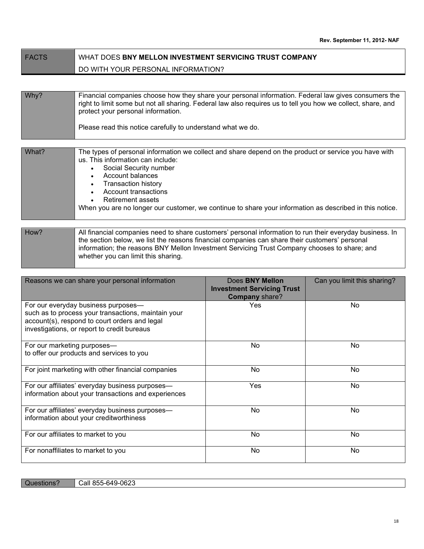| <b>FACTS</b> | WHAT DOES BNY MELLON INVESTMENT SERVICING TRUST COMPANY |
|--------------|---------------------------------------------------------|
|              | DO WITH YOUR PERSONAL INFORMATION?                      |

Why? Financial companies choose how they share your personal information. Federal law gives consumers the right to limit some but not all sharing. Federal law also requires us to tell you how we collect, share, and protect your personal information. Please read this notice carefully to understand what we do.

| What? | The types of personal information we collect and share depend on the product or service you have with   |
|-------|---------------------------------------------------------------------------------------------------------|
|       | us. This information can include:                                                                       |
|       | Social Security number                                                                                  |
|       | Account balances                                                                                        |
|       | Transaction history                                                                                     |
|       | Account transactions                                                                                    |
|       | Retirement assets                                                                                       |
|       | When you are no longer our customer, we continue to share your information as described in this notice. |

| How? | All financial companies need to share customers' personal information to run their everyday business. In |
|------|----------------------------------------------------------------------------------------------------------|
|      | the section below, we list the reasons financial companies can share their customers' personal           |
|      | information; the reasons BNY Mellon Investment Servicing Trust Company chooses to share; and             |
|      | whether you can limit this sharing.                                                                      |

| Reasons we can share your personal information                                                                                                                                             | Does BNY Mellon<br><b>Investment Servicing Trust</b><br><b>Company share?</b> | Can you limit this sharing? |
|--------------------------------------------------------------------------------------------------------------------------------------------------------------------------------------------|-------------------------------------------------------------------------------|-----------------------------|
| For our everyday business purposes-<br>such as to process your transactions, maintain your<br>account(s), respond to court orders and legal<br>investigations, or report to credit bureaus | <b>Yes</b>                                                                    | No                          |
| For our marketing purposes-<br>to offer our products and services to you                                                                                                                   | No                                                                            | No                          |
| For joint marketing with other financial companies                                                                                                                                         | No.                                                                           | No                          |
| For our affiliates' everyday business purposes-<br>information about your transactions and experiences                                                                                     | Yes                                                                           | No                          |
| For our affiliates' everyday business purposes-<br>information about your creditworthiness                                                                                                 | No                                                                            | No                          |
| For our affiliates to market to you                                                                                                                                                        | No                                                                            | No                          |
| For nonaffiliates to market to you                                                                                                                                                         | No.                                                                           | No.                         |